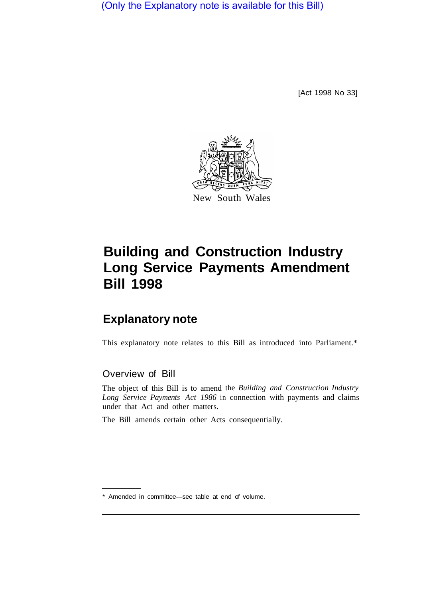(Only the Explanatory note is available for this Bill)

[Act 1998 No 33]



# **Building and Construction Industry Long Service Payments Amendment Bill 1998**

# **Explanatory note**

This explanatory note relates to this Bill as introduced into Parliament.\*

# Overview of Bill

The object of this Bill is to amend the *Building and Construction Industry Long Service Payments Act 1986* in connection with payments and claims under that Act and other matters.

The Bill amends certain other Acts consequentially.

<sup>\*</sup> Amended in committee—see table at end of volume.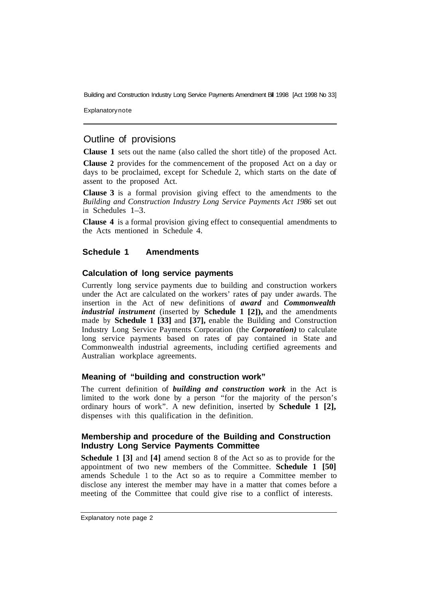**Explanatory note** 

# Outline of provisions

**Clause 1** sets out the name (also called the short title) of the proposed Act.

**Clause 2** provides for the commencement of the proposed Act on a day or days to be proclaimed, except for Schedule 2, which starts on the date of assent to the proposed Act.

**Clause 3** is a formal provision giving effect to the amendments to the *Building and Construction Industry Long Service Payments Act 1986* set out in Schedules 1–3.

**Clause 4** is a formal provision giving effect to consequential amendments to the Acts mentioned in Schedule 4.

#### **Schedule 1 Amendments**

#### **Calculation of long service payments**

Currently long service payments due to building and construction workers under the Act are calculated on the workers' rates of pay under awards. The insertion in the Act of new definitions of *award* and *Commonwealth industrial instrument* (inserted by **Schedule 1 [2]),** and the amendments made by **Schedule 1 [33]** and **[37],** enable the Building and Construction Industry Long Service Payments Corporation (the *Corporation)* to calculate long service payments based on rates of pay contained in State and Commonwealth industrial agreements, including certified agreements and Australian workplace agreements.

#### **Meaning of "building and construction work"**

The current definition of *building and construction work* in the Act is limited to the work done by a person "for the majority of the person's ordinary hours of work". A new definition, inserted by **Schedule 1 [2],**  dispenses with this qualification in the definition.

#### **Membership and procedure of the Building and Construction Industry Long Service Payments Committee**

**Schedule 1 [3]** and **[4]** amend section 8 of the Act so as to provide for the appointment of two new members of the Committee. **Schedule 1 [50]**  amends Schedule 1 to the Act so as to require a Committee member to disclose any interest the member may have in a matter that comes before a meeting of the Committee that could give rise to a conflict of interests.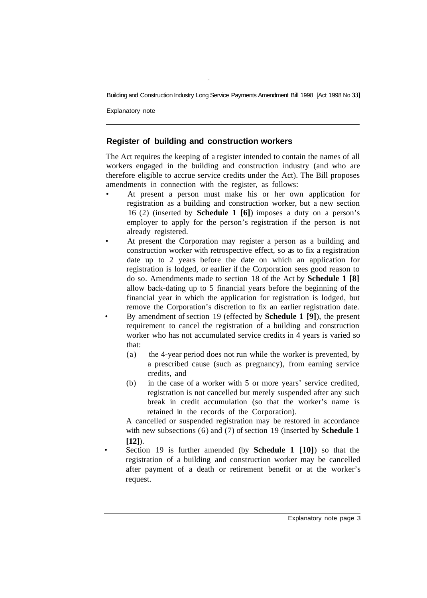Explanatory note

## **Register of building and construction workers**

The Act requires the keeping of a register intended to contain the names of all workers engaged in the building and construction industry (and who are therefore eligible to accrue service credits under the Act). The Bill proposes amendments in connection with the register, as follows:

- At present a person must make his or her own application for registration as a building and construction worker, but a new section 16 (2) (inserted by **Schedule 1 [6]**) imposes a duty on a person's employer to apply for the person's registration if the person is not already registered.
- At present the Corporation may register a person as a building and construction worker with retrospective effect, so as to fix a registration date up to 2 years before the date on which an application for registration is lodged, or earlier if the Corporation sees good reason to do so. Amendments made to section 18 of the Act by **Schedule 1 [8]**  allow back-dating up to 5 financial years before the beginning of the financial year in which the application for registration is lodged, but remove the Corporation's discretion to fix an earlier registration date. • By amendment of section 19 (effected by **Schedule 1 [9]**), the present requirement to cancel the registration of a building and construction worker who has not accumulated service credits in 4 years is varied so that:
	- (a) the 4-year period does not run while the worker is prevented, by a prescribed cause (such as pregnancy), from earning service credits, and
	- (b) in the case of a worker with 5 or more years' service credited, registration is not cancelled but merely suspended after any such break in credit accumulation (so that the worker's name is retained in the records of the Corporation).

A cancelled or suspended registration may be restored in accordance with new subsections (6) and (7) of section 19 (inserted by **Schedule 1 [12]**).

• Section 19 is further amended (by **Schedule 1 [10]**) so that the registration of a building and construction worker may be cancelled after payment of a death or retirement benefit or at the worker's request.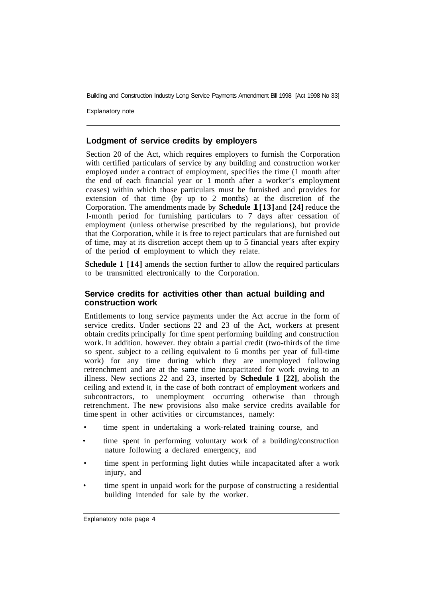Explanatory note

#### **Lodgment of service credits by employers**

Section 20 of the Act, which requires employers to furnish the Corporation with certified particulars of service by any building and construction worker employed under a contract of employment, specifies the time (1 month after the end of each financial year or 1 month after a worker's employment ceases) within which those particulars must be furnished and provides for extension of that time (by up to 2 months) at the discretion of the Corporation. The amendments made by **Schedule 1[13]** and **[24]** reduce the l-month period for furnishing particulars to 7 days after cessation of employment (unless otherwise prescribed by the regulations), but provide that the Corporation, while it is free to reject particulars that are furnished out of time, may at its discretion accept them up to 5 financial years after expiry of the period of employment to which they relate.

**Schedule 1 [14]** amends the section further to allow the required particulars to be transmitted electronically to the Corporation.

#### **Service credits for activities other than actual building and construction work**

Entitlements to long service payments under the Act accrue in the form of service credits. Under sections 22 and 23 of the Act, workers at present obtain credits principally for time spent performing building and construction work. In addition. however. they obtain a partial credit (two-thirds of the time so spent. subject to a ceiling equivalent to 6 months per year of full-time work) for any time during which they are unemployed following retrenchment and are at the same time incapacitated for work owing to an illness. New sections 22 and 23, inserted by **Schedule 1 [22]**, abolish the ceiling and extend it, in the case of both contract of employment workers and subcontractors, to unemployment occurring otherwise than through retrenchment. The new provisions also make service credits available for time spent in other activities or circumstances, namely:

- time spent in undertaking a work-related training course, and
- time spent in performing voluntary work of a building/construction nature following a declared emergency, and
- time spent in performing light duties while incapacitated after a work injury, and
- time spent in unpaid work for the purpose of constructing a residential building intended for sale by the worker.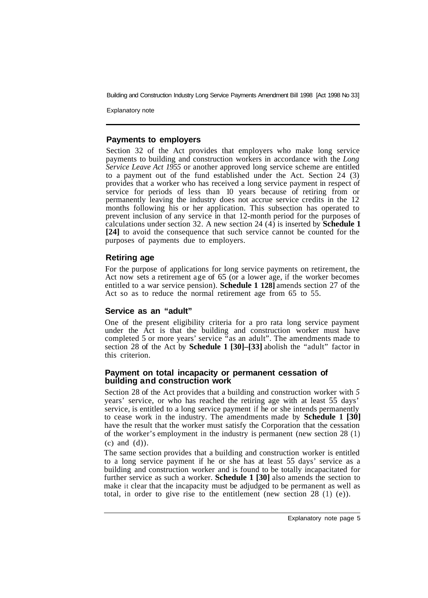Explanatory note

#### **Payments to employers**

Section 32 of the Act provides that employers who make long service payments to building and construction workers in accordance with the *Long Service Leave Act 1955* or another approved long service scheme are entitled to a payment out of the fund established under the Act. Section 24 (3) provides that a worker who has received a long service payment in respect of service for periods of less than 10 years because of retiring from or permanently leaving the industry does not accrue service credits in the 12 months following his or her application. This subsection has operated to prevent inclusion of any service in that 12-month period for the purposes of calculations under section 32. A new section 24 (4) is inserted by **Schedule 1 [24]** to avoid the consequence that such service cannot be counted for the purposes of payments due to employers.

#### **Retiring age**

For the purpose of applications for long service payments on retirement, the Act now sets a retirement age of 65 (or a lower age, if the worker becomes entitled to a war service pension). **Schedule 1 128]** amends section 27 of the Act so as to reduce the normal retirement age from 65 to 55.

#### **Service as an "adult"**

One of the present eligibility criteria for a pro rata long service payment under the Act is that the building and construction worker must have completed 5 or more years' service "as an adult". The amendments made to section 28 of the Act by **Schedule 1 [30]–[33]** abolish the "adult" factor in this criterion.

#### **Payment on total incapacity or permanent cessation of building and construction work**

Section 28 of the Act provides that a building and construction worker with *5*  years' service, or who has reached the retiring age with at least 55 days' service, is entitled to a long service payment if he or she intends permanently to cease work in the industry. The amendments made by **Schedule 1 [30]**  have the result that the worker must satisfy the Corporation that the cessation of the worker's employment in the industry is permanent (new section 28 (1) (c) and (d)).

The same section provides that a building and construction worker is entitled to a long service payment if he or she has at least 55 days' service as a building and construction worker and is found to be totally incapacitated for further service as such a worker. **Schedule 1 [30]** also amends the section to make it clear that the incapacity must be adjudged to be permanent as well as total, in order to give rise to the entitlement (new section 28 (1) (e)).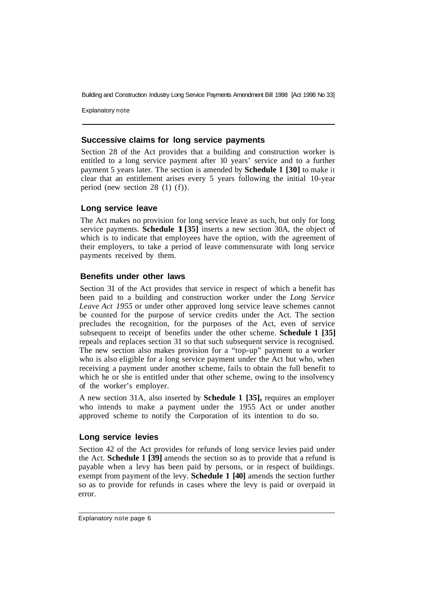Explanatory note

#### **Successive claims for long service payments**

Section 28 of the Act provides that a building and construction worker is entitled to a long service payment after 10 years' service and to a further payment 5 years later. The section is amended by **Schedule 1 [30]** to make it clear that an entitlement arises every 5 years following the initial 10-year period (new section 28 (1) (f)).

#### **Long service leave**

The Act makes no provision for long service leave as such, but only for long service payments. **Schedule 1 [35]** inserts a new section 30A, the object of which is to indicate that employees have the option, with the agreement of their employers, to take a period of leave commensurate with long service payments received by them.

#### **Benefits under other laws**

Section 31 of the Act provides that service in respect of which a benefit has been paid to a building and construction worker under the *Long Service Leave Act 1955* or under other approved long service leave schemes cannot be counted for the purpose of service credits under the Act. The section precludes the recognition, for the purposes of the Act, even of service subsequent to receipt of benefits under the other scheme. **Schedule 1 [35]**  repeals and replaces section 31 so that such subsequent service is recognised. The new section also makes provision for a "top-up" payment to a worker who is also eligible for a long service payment under the Act but who, when receiving a payment under another scheme, fails to obtain the full benefit to which he or she is entitled under that other scheme, owing to the insolvency of the worker's employer.

A new section 31A, also inserted by **Schedule 1 [35],** requires an employer who intends to make a payment under the 1955 Act or under another approved scheme to notify the Corporation of its intention to do so.

#### **Long service levies**

Section 42 of the Act provides for refunds of long service levies paid under the Act. **Schedule 1 [39]** amends the section so as to provide that a refund is payable when a levy has been paid by persons, or in respect of buildings. exempt from payment of the levy. **Schedule 1 [40]** amends the section further so as to provide for refunds in cases where the levy is paid or overpaid in error.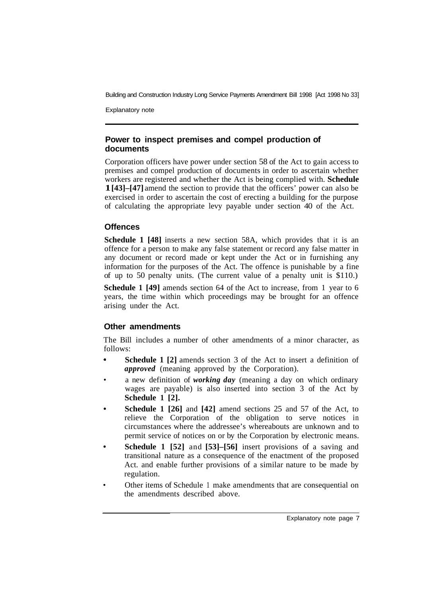Explanatory note

#### **Power to inspect premises and compel production of documents**

Corporation officers have power under section 58 of the Act to gain access to premises and compel production of documents in order to ascertain whether workers are registered and whether the Act is being complied with. **Schedule 1 [43]–[47]** amend the section to provide that the officers' power can also be exercised in order to ascertain the cost of erecting a building for the purpose of calculating the appropriate levy payable under section 40 of the Act.

#### **Offences**

**Schedule 1 [48]** inserts a new section 58A, which provides that it is an offence for a person to make any false statement or record any false matter in any document or record made or kept under the Act or in furnishing any information for the purposes of the Act. The offence is punishable by a fine of up to 50 penalty units. (The current value of a penalty unit is \$110.)

**Schedule 1 [49]** amends section 64 of the Act to increase, from 1 year to 6 years, the time within which proceedings may be brought for an offence arising under the Act.

# **Other amendments**

The Bill includes a number of other amendments of a minor character, as follows:

- **Schedule 1 [2]** amends section 3 of the Act to insert a definition of *approved* (meaning approved by the Corporation).
- a new definition of *working day* (meaning a day on which ordinary wages are payable) is also inserted into section 3 of the Act by **Schedule 1 [2].**
- **Schedule 1 [26] and [42] amend sections 25 and 57 of the Act, to** relieve the Corporation of the obligation to serve notices in circumstances where the addressee's whereabouts are unknown and to permit service of notices on or by the Corporation by electronic means.
- **Schedule 1 [52]** and **[53]–[56]** insert provisions of a saving and transitional nature as a consequence of the enactment of the proposed Act. and enable further provisions of a similar nature to be made by regulation.
- Other items of Schedule 1 make amendments that are consequential on the amendments described above.